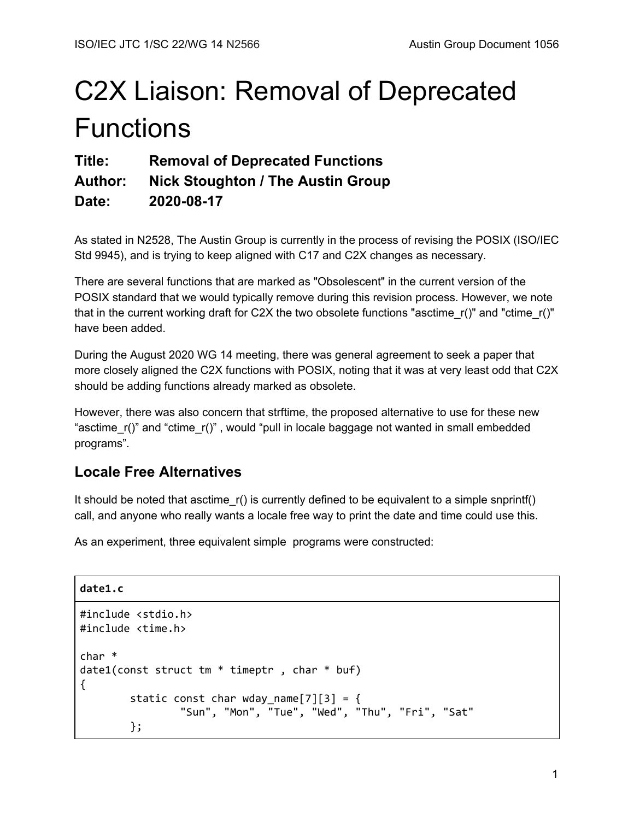# C2X Liaison: Removal of Deprecated **Functions**

**Title: Removal of Deprecated Functions**

**Author: Nick Stoughton / The Austin Group**

**Date: 2020-08-17**

As stated in N2528, The Austin Group is currently in the process of revising the POSIX (ISO/IEC Std 9945), and is trying to keep aligned with C17 and C2X changes as necessary.

There are several functions that are marked as "Obsolescent" in the current version of the POSIX standard that we would typically remove during this revision process. However, we note that in the current working draft for C2X the two obsolete functions "asctime\_r()" and "ctime\_r()" have been added.

During the August 2020 WG 14 meeting, there was general agreement to seek a paper that more closely aligned the C2X functions with POSIX, noting that it was at very least odd that C2X should be adding functions already marked as obsolete.

However, there was also concern that strftime, the proposed alternative to use for these new "asctime r()" and "ctime r()", would "pull in locale baggage not wanted in small embedded programs".

# **Locale Free Alternatives**

It should be noted that asctime\_r() is currently defined to be equivalent to a simple snprintf() call, and anyone who really wants a locale free way to print the date and time could use this.

As an experiment, three equivalent simple programs were constructed:

**date1.c**

```
#include <stdio.h>
#include <time.h>
char *
date1(const struct tm * timeptr , char * buf)
{
        static const char wday_name[7][3] = \{"Sun", "Mon", "Tue", "Wed", "Thu", "Fri", "Sat"
        };
```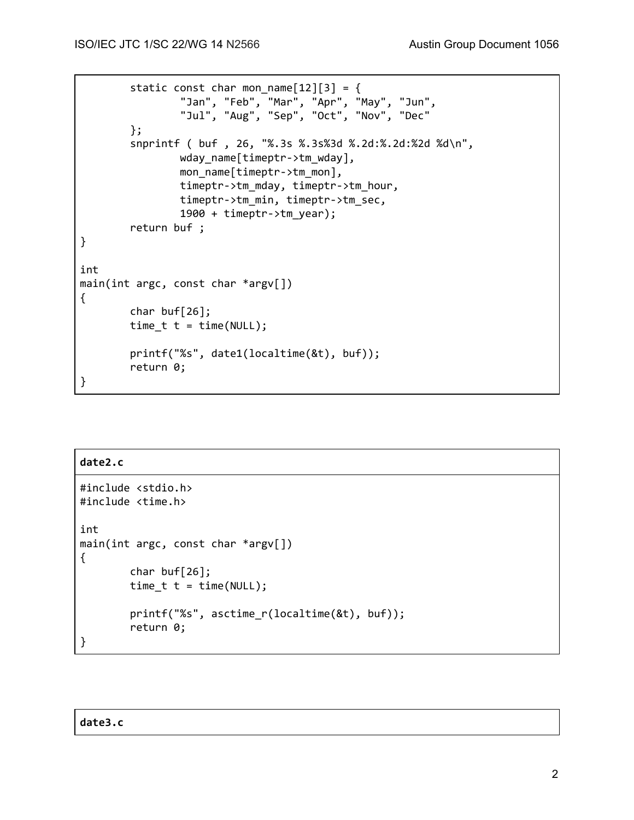```
static const char mon_name[12][3] = \{"Jan", "Feb", "Mar", "Apr", "May", "Jun",
                "Jul", "Aug", "Sep", "Oct", "Nov", "Dec"
        };
        snprintf ( buf , 26, "%.3s %.3s%3d %.2d:%.2d:%2d %d\n",
                wday_name[timeptr->tm_wday],
                mon name[timeptr->tm mon],
                timeptr->tm_mday, timeptr->tm_hour,
                timeptr->tm_min, timeptr->tm_sec,
                1900 + timeptr->tm_year);
        return buf ;
}
int
main(int argc, const char *argv[])
{
        char buf[26];
        time_t t = time(NULL);
        printf("%s", date1(localtime(&t), buf));
        return 0;
}
```
# **date2.c** #include <stdio.h> #include <time.h> int main(int argc, const char \*argv[]) { char buf[26]; time\_t  $t = time(NULL);$ printf("%s", asctime\_r(localtime(&t), buf)); return 0; }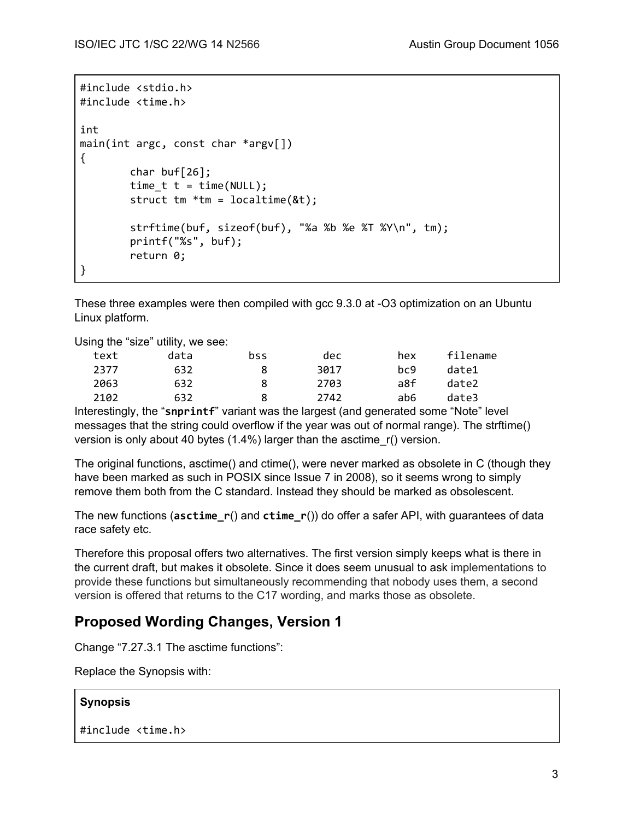```
#include <stdio.h>
#include <time.h>
int
main(int argc, const char *argv[])
{
        char buf[26];
        time_t t = time(NULL);struct tm *tm = localtime(&t);
        strftime(buf, sizeof(buf), "%a %b %e %T %Y\n", tm);
        printf("%s", buf);
        return 0;
}
```
These three examples were then compiled with gcc 9.3.0 at -O3 optimization on an Ubuntu Linux platform.

Using the "size" utility, we see:

| text | data | bss | dec  | hex | filename |
|------|------|-----|------|-----|----------|
| 2377 | 632  | 8   | 3017 | bc9 | date1    |
| 2063 | 632  | 8   | 2703 | a8f | date2    |
| 2102 | 632  | 8   | 2742 | ab6 | date3    |

Interestingly, the "**snprintf**" variant was the largest (and generated some "Note" level messages that the string could overflow if the year was out of normal range). The strftime() version is only about 40 bytes (1.4%) larger than the asctime\_r() version.

The original functions, asctime() and ctime(), were never marked as obsolete in C (though they have been marked as such in POSIX since Issue 7 in 2008), so it seems wrong to simply remove them both from the C standard. Instead they should be marked as obsolescent.

The new functions (**asctime\_r**() and **ctime\_r**()) do offer a safer API, with guarantees of data race safety etc.

Therefore this proposal offers two alternatives. The first version simply keeps what is there in the current draft, but makes it obsolete. Since it does seem unusual to ask implementations to provide these functions but simultaneously recommending that nobody uses them, a second version is offered that returns to the C17 wording, and marks those as obsolete.

# **Proposed Wording Changes, Version 1**

Change "7.27.3.1 The asctime functions":

Replace the Synopsis with:

# **Synopsis**

```
#include <time.h>
```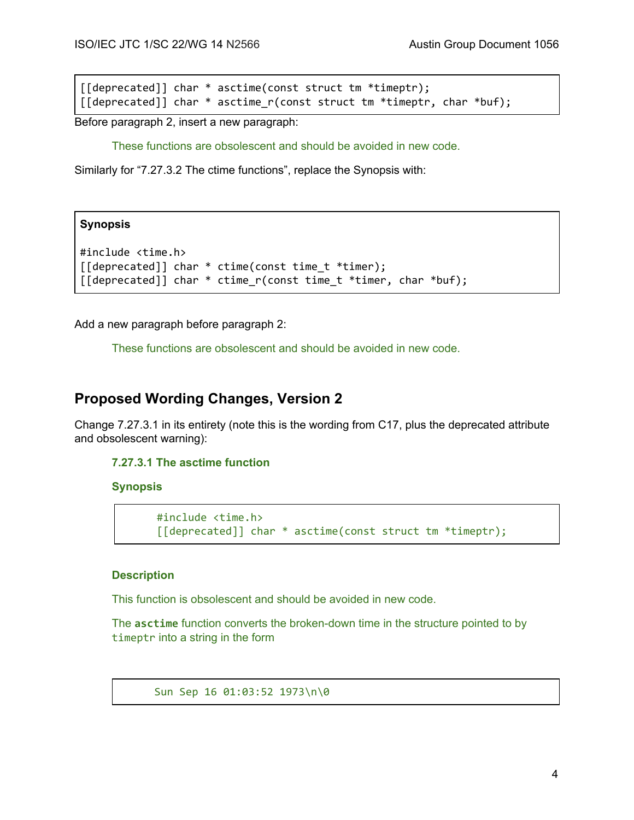[[deprecated]] char \* asctime(const struct tm \*timeptr); [[deprecated]] char \* asctime\_r(const struct tm \*timeptr, char \*buf);

Before paragraph 2, insert a new paragraph:

These functions are obsolescent and should be avoided in new code.

Similarly for "7.27.3.2 The ctime functions", replace the Synopsis with:

## **Synopsis**

```
#include <time.h>
[[deprecated]] char * ctime(const time_t *timer);
[[deprecated]] char * ctime r(const time t *timer, char *buf);
```
Add a new paragraph before paragraph 2:

These functions are obsolescent and should be avoided in new code.

# **Proposed Wording Changes, Version 2**

Change 7.27.3.1 in its entirety (note this is the wording from C17, plus the deprecated attribute and obsolescent warning):

# **7.27.3.1 The asctime function**

#### **Synopsis**

```
#include <time.h>
[[deprecated]] char * asctime(const struct tm *timeptr);
```
# **Description**

This function is obsolescent and should be avoided in new code.

The **asctime** function converts the broken-down time in the structure pointed to by timeptr into a string in the form

Sun Sep 16 01:03:52 1973\n\0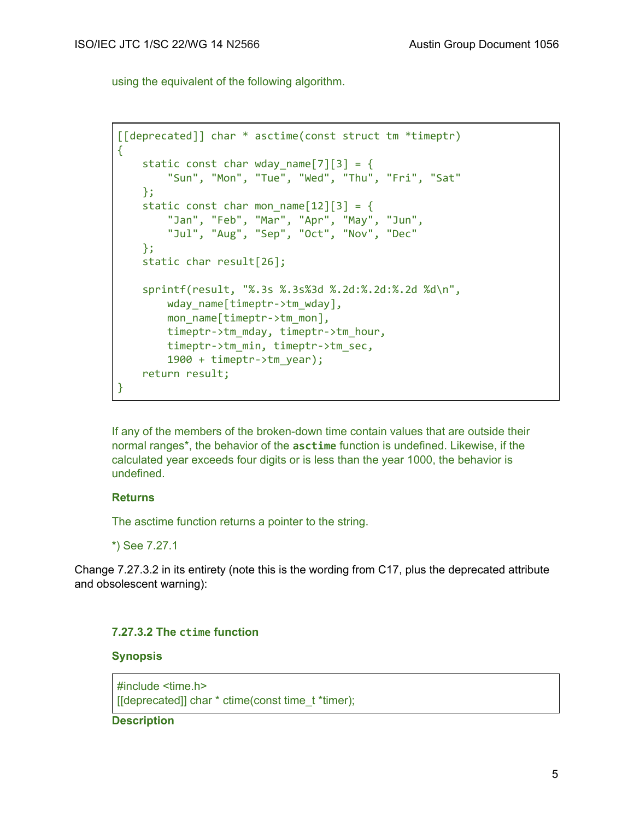using the equivalent of the following algorithm.

```
[[deprecated]] char * asctime(const struct tm *timeptr)
{
   static const char wday_name[7][3] = \{"Sun", "Mon", "Tue", "Wed", "Thu", "Fri", "Sat"
   };
   static const char mon name[12][3] = {
        "Jan", "Feb", "Mar", "Apr", "May", "Jun",
       "Jul", "Aug", "Sep", "Oct", "Nov", "Dec"
   };
   static char result[26];
   sprintf(result, "%.3s %.3s%3d %.2d:%.2d:%.2d %d\n",
        wday name[timeptr->tm wday],
        mon_name[timeptr->tm_mon],
       timeptr->tm_mday, timeptr->tm_hour,
       timeptr->tm_min, timeptr->tm_sec,
        1900 + timeptr->tm_year);
   return result;
}
```
If any of the members of the broken-down time contain values that are outside their normal ranges\*, the behavior of the **asctime** function is undefined. Likewise, if the calculated year exceeds four digits or is less than the year 1000, the behavior is undefined.

## **Returns**

The asctime function returns a pointer to the string.

\*) See 7.27.1

Change 7.27.3.2 in its entirety (note this is the wording from C17, plus the deprecated attribute and obsolescent warning):

### **7.27.3.2 The ctime function**

## **Synopsis**

#include <time.h> [[deprecated]] char \* ctime(const time\_t \*timer);

**Description**